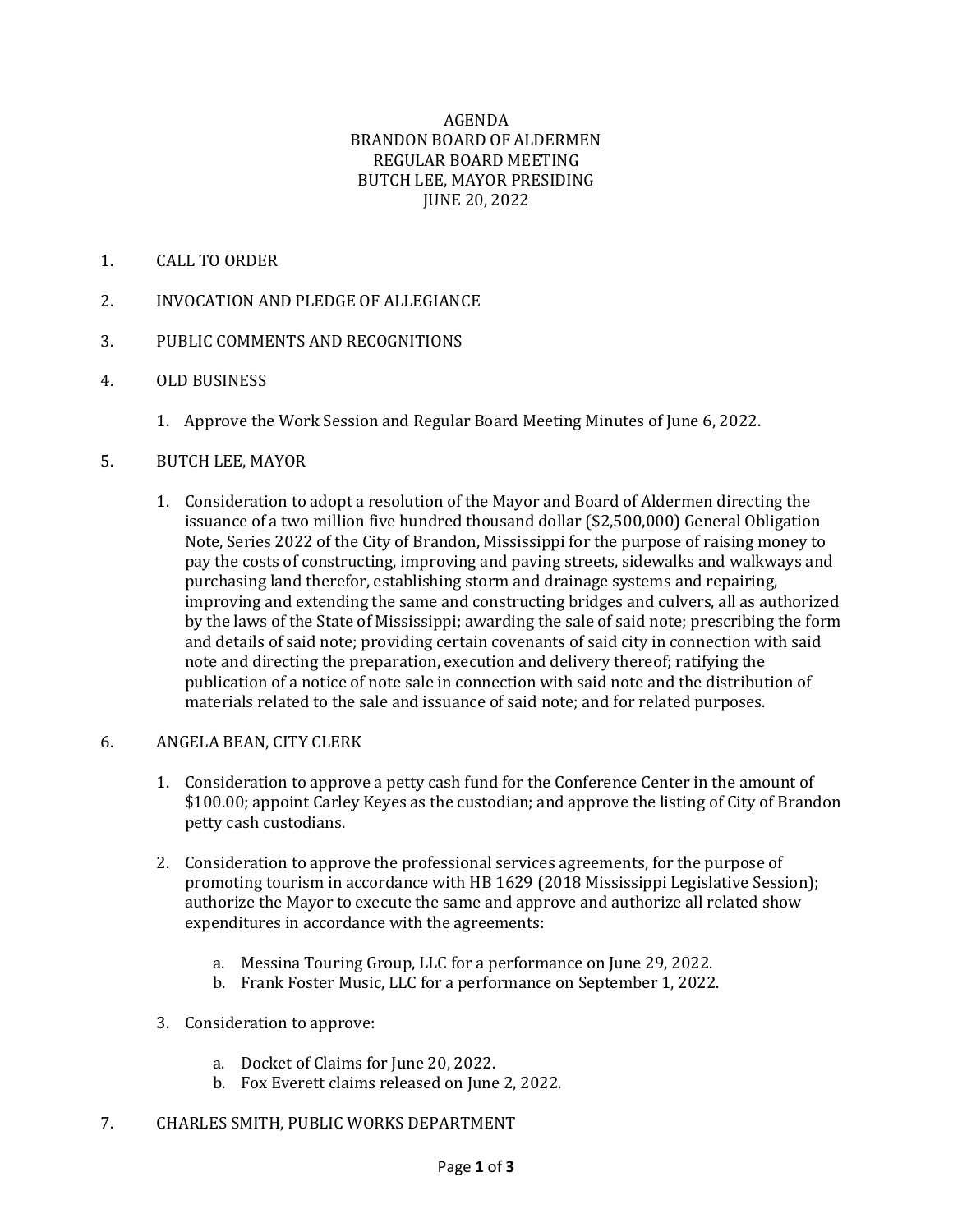#### AGENDA BRANDON BOARD OF ALDERMEN REGULAR BOARD MEETING BUTCH LEE, MAYOR PRESIDING JUNE 20, 2022

## 1. CALL TO ORDER

- 2. INVOCATION AND PLEDGE OF ALLEGIANCE
- 3. PUBLIC COMMENTS AND RECOGNITIONS
- 4. OLD BUSINESS
	- 1. Approve the Work Session and Regular Board Meeting Minutes of June 6, 2022.

## 5. BUTCH LEE, MAYOR

1. Consideration to adopt a resolution of the Mayor and Board of Aldermen directing the issuance of a two million five hundred thousand dollar (\$2,500,000) General Obligation Note, Series 2022 of the City of Brandon, Mississippi for the purpose of raising money to pay the costs of constructing, improving and paving streets, sidewalks and walkways and purchasing land therefor, establishing storm and drainage systems and repairing, improving and extending the same and constructing bridges and culvers, all as authorized by the laws of the State of Mississippi; awarding the sale of said note; prescribing the form and details of said note; providing certain covenants of said city in connection with said note and directing the preparation, execution and delivery thereof; ratifying the publication of a notice of note sale in connection with said note and the distribution of materials related to the sale and issuance of said note; and for related purposes.

## 6. ANGELA BEAN, CITY CLERK

- 1. Consideration to approve a petty cash fund for the Conference Center in the amount of \$100.00; appoint Carley Keyes as the custodian; and approve the listing of City of Brandon petty cash custodians.
- 2. Consideration to approve the professional services agreements, for the purpose of promoting tourism in accordance with HB 1629 (2018 Mississippi Legislative Session); authorize the Mayor to execute the same and approve and authorize all related show expenditures in accordance with the agreements:
	- a. Messina Touring Group, LLC for a performance on June 29, 2022.
	- b. Frank Foster Music, LLC for a performance on September 1, 2022.
- 3. Consideration to approve:
	- a. Docket of Claims for June 20, 2022.
	- b. Fox Everett claims released on June 2, 2022.
- 7. CHARLES SMITH, PUBLIC WORKS DEPARTMENT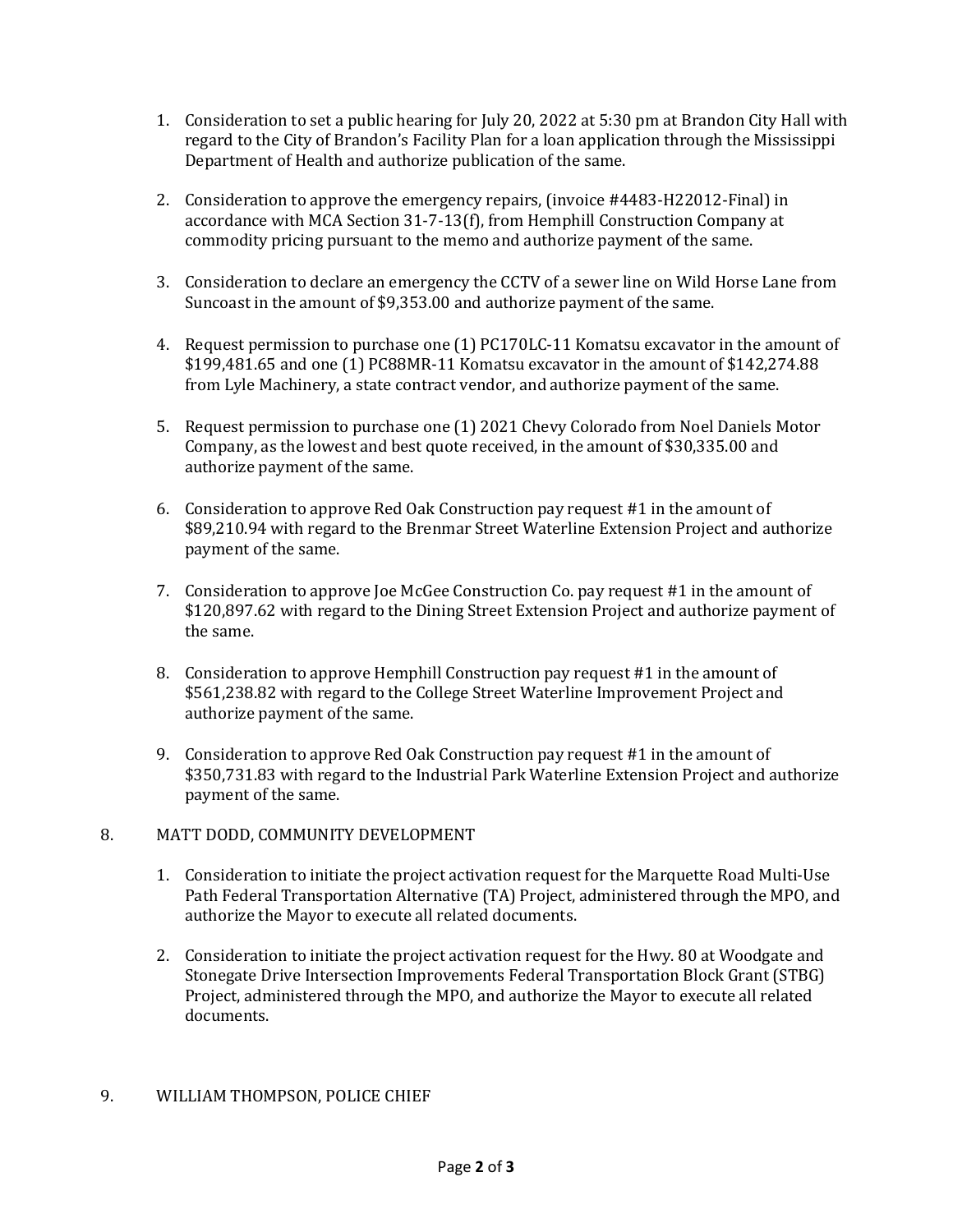- 1. Consideration to set a public hearing for July 20, 2022 at 5:30 pm at Brandon City Hall with regard to the City of Brandon's Facility Plan for a loan application through the Mississippi Department of Health and authorize publication of the same.
- 2. Consideration to approve the emergency repairs, (invoice #4483-H22012-Final) in accordance with MCA Section 31-7-13(f), from Hemphill Construction Company at commodity pricing pursuant to the memo and authorize payment of the same.
- 3. Consideration to declare an emergency the CCTV of a sewer line on Wild Horse Lane from Suncoast in the amount of \$9,353.00 and authorize payment of the same.
- 4. Request permission to purchase one (1) PC170LC-11 Komatsu excavator in the amount of \$199,481.65 and one (1) PC88MR-11 Komatsu excavator in the amount of \$142,274.88 from Lyle Machinery, a state contract vendor, and authorize payment of the same.
- 5. Request permission to purchase one (1) 2021 Chevy Colorado from Noel Daniels Motor Company, as the lowest and best quote received, in the amount of \$30,335.00 and authorize payment of the same.
- 6. Consideration to approve Red Oak Construction pay request #1 in the amount of \$89,210.94 with regard to the Brenmar Street Waterline Extension Project and authorize payment of the same.
- 7. Consideration to approve Joe McGee Construction Co. pay request #1 in the amount of \$120,897.62 with regard to the Dining Street Extension Project and authorize payment of the same.
- 8. Consideration to approve Hemphill Construction pay request #1 in the amount of \$561,238.82 with regard to the College Street Waterline Improvement Project and authorize payment of the same.
- 9. Consideration to approve Red Oak Construction pay request #1 in the amount of \$350,731.83 with regard to the Industrial Park Waterline Extension Project and authorize payment of the same.

## 8. MATT DODD, COMMUNITY DEVELOPMENT

- 1. Consideration to initiate the project activation request for the Marquette Road Multi-Use Path Federal Transportation Alternative (TA) Project, administered through the MPO, and authorize the Mayor to execute all related documents.
- 2. Consideration to initiate the project activation request for the Hwy. 80 at Woodgate and Stonegate Drive Intersection Improvements Federal Transportation Block Grant (STBG) Project, administered through the MPO, and authorize the Mayor to execute all related documents.

# 9. WILLIAM THOMPSON, POLICE CHIEF